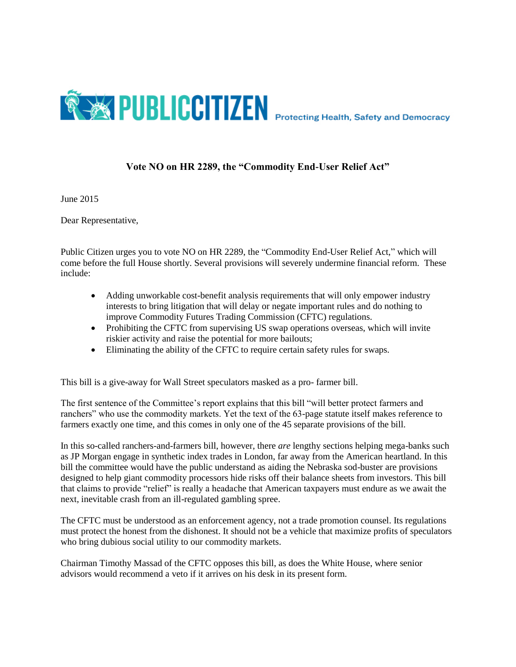

## **Vote NO on HR 2289, the "Commodity End-User Relief Act"**

June 2015

Dear Representative,

Public Citizen urges you to vote NO on HR 2289, the "Commodity End-User Relief Act," which will come before the full House shortly. Several provisions will severely undermine financial reform. These include:

- Adding unworkable cost-benefit analysis requirements that will only empower industry interests to bring litigation that will delay or negate important rules and do nothing to improve Commodity Futures Trading Commission (CFTC) regulations.
- Prohibiting the CFTC from supervising US swap operations overseas, which will invite riskier activity and raise the potential for more bailouts;
- Eliminating the ability of the CFTC to require certain safety rules for swaps.

This bill is a give-away for Wall Street speculators masked as a pro- farmer bill.

The first sentence of the Committee's report explains that this bill "will better protect farmers and ranchers" who use the commodity markets. Yet the text of the 63-page statute itself makes reference to farmers exactly one time, and this comes in only one of the 45 separate provisions of the bill.

In this so-called ranchers-and-farmers bill, however, there *are* lengthy sections helping mega-banks such as JP Morgan engage in synthetic index trades in London, far away from the American heartland. In this bill the committee would have the public understand as aiding the Nebraska sod-buster are provisions designed to help giant commodity processors hide risks off their balance sheets from investors. This bill that claims to provide "relief" is really a headache that American taxpayers must endure as we await the next, inevitable crash from an ill-regulated gambling spree.

The CFTC must be understood as an enforcement agency, not a trade promotion counsel. Its regulations must protect the honest from the dishonest. It should not be a vehicle that maximize profits of speculators who bring dubious social utility to our commodity markets.

Chairman Timothy Massad of the CFTC opposes this bill, as does the White House, where senior advisors would recommend a veto if it arrives on his desk in its present form.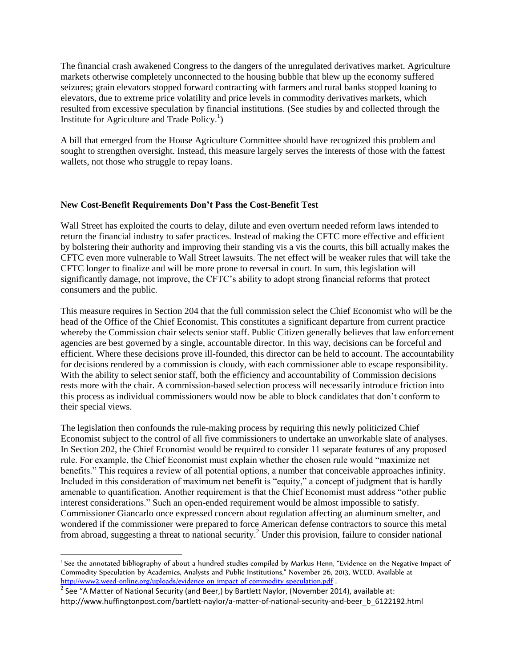The financial crash awakened Congress to the dangers of the unregulated derivatives market. Agriculture markets otherwise completely unconnected to the housing bubble that blew up the economy suffered seizures; grain elevators stopped forward contracting with farmers and rural banks stopped loaning to elevators, due to extreme price volatility and price levels in commodity derivatives markets, which resulted from excessive speculation by financial institutions. (See studies by and collected through the Institute for Agriculture and Trade Policy.<sup>1</sup>)

A bill that emerged from the House Agriculture Committee should have recognized this problem and sought to strengthen oversight. Instead, this measure largely serves the interests of those with the fattest wallets, not those who struggle to repay loans.

## **New Cost-Benefit Requirements Don't Pass the Cost-Benefit Test**

Wall Street has exploited the courts to delay, dilute and even overturn needed reform laws intended to return the financial industry to safer practices. Instead of making the CFTC more effective and efficient by bolstering their authority and improving their standing vis a vis the courts, this bill actually makes the CFTC even more vulnerable to Wall Street lawsuits. The net effect will be weaker rules that will take the CFTC longer to finalize and will be more prone to reversal in court. In sum, this legislation will significantly damage, not improve, the CFTC's ability to adopt strong financial reforms that protect consumers and the public.

This measure requires in Section 204 that the full commission select the Chief Economist who will be the head of the Office of the Chief Economist. This constitutes a significant departure from current practice whereby the Commission chair selects senior staff. Public Citizen generally believes that law enforcement agencies are best governed by a single, accountable director. In this way, decisions can be forceful and efficient. Where these decisions prove ill-founded, this director can be held to account. The accountability for decisions rendered by a commission is cloudy, with each commissioner able to escape responsibility. With the ability to select senior staff, both the efficiency and accountability of Commission decisions rests more with the chair. A commission-based selection process will necessarily introduce friction into this process as individual commissioners would now be able to block candidates that don't conform to their special views.

The legislation then confounds the rule-making process by requiring this newly politicized Chief Economist subject to the control of all five commissioners to undertake an unworkable slate of analyses. In Section 202, the Chief Economist would be required to consider 11 separate features of any proposed rule. For example, the Chief Economist must explain whether the chosen rule would "maximize net benefits." This requires a review of all potential options, a number that conceivable approaches infinity. Included in this consideration of maximum net benefit is "equity," a concept of judgment that is hardly amenable to quantification. Another requirement is that the Chief Economist must address "other public interest considerations." Such an open-ended requirement would be almost impossible to satisfy. Commissioner Giancarlo once expressed concern about regulation affecting an aluminum smelter, and wondered if the commissioner were prepared to force American defense contractors to source this metal from abroad, suggesting a threat to national security.<sup>2</sup> Under this provision, failure to consider national

 1 See the annotated bibliography of about a hundred studies compiled by Markus Henn, "Evidence on the Negative Impact of Commodity Speculation by Academics, Analysts and Public Institutions," November 26, 2013, WEED. Available at [http://www2.weed-online.org/uploads/evidence\\_on\\_impact\\_of\\_commodity\\_speculation.pdf](http://www2.weed-online.org/uploads/evidence_on_impact_of_commodity_speculation.pdf) .

<sup>&</sup>lt;sup>2</sup> See "A Matter of National Security (and Beer,) by Bartlett Naylor, (November 2014), available at: http://www.huffingtonpost.com/bartlett-naylor/a-matter-of-national-security-and-beer\_b\_6122192.html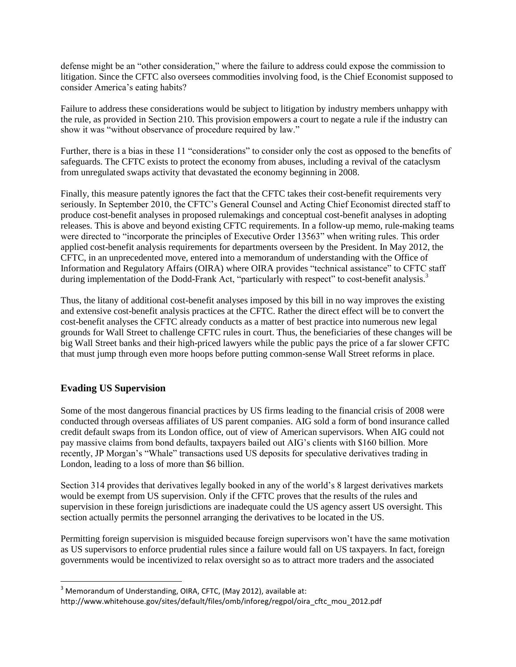defense might be an "other consideration," where the failure to address could expose the commission to litigation. Since the CFTC also oversees commodities involving food, is the Chief Economist supposed to consider America's eating habits?

Failure to address these considerations would be subject to litigation by industry members unhappy with the rule, as provided in Section 210. This provision empowers a court to negate a rule if the industry can show it was "without observance of procedure required by law."

Further, there is a bias in these 11 "considerations" to consider only the cost as opposed to the benefits of safeguards. The CFTC exists to protect the economy from abuses, including a revival of the cataclysm from unregulated swaps activity that devastated the economy beginning in 2008.

Finally, this measure patently ignores the fact that the CFTC takes their cost-benefit requirements very seriously. In September 2010, the CFTC's General Counsel and Acting Chief Economist directed staff to produce cost-benefit analyses in proposed rulemakings and conceptual cost-benefit analyses in adopting releases. This is above and beyond existing CFTC requirements. In a follow-up memo, rule-making teams were directed to "incorporate the principles of Executive Order 13563" when writing rules. This order applied cost-benefit analysis requirements for departments overseen by the President. In May 2012, the CFTC, in an unprecedented move, entered into a memorandum of understanding with the Office of Information and Regulatory Affairs (OIRA) where OIRA provides "technical assistance" to CFTC staff during implementation of the Dodd-Frank Act, "particularly with respect" to cost-benefit analysis.<sup>3</sup>

Thus, the litany of additional cost-benefit analyses imposed by this bill in no way improves the existing and extensive cost-benefit analysis practices at the CFTC. Rather the direct effect will be to convert the cost-benefit analyses the CFTC already conducts as a matter of best practice into numerous new legal grounds for Wall Street to challenge CFTC rules in court. Thus, the beneficiaries of these changes will be big Wall Street banks and their high-priced lawyers while the public pays the price of a far slower CFTC that must jump through even more hoops before putting common-sense Wall Street reforms in place.

## **Evading US Supervision**

l

Some of the most dangerous financial practices by US firms leading to the financial crisis of 2008 were conducted through overseas affiliates of US parent companies. AIG sold a form of bond insurance called credit default swaps from its London office, out of view of American supervisors. When AIG could not pay massive claims from bond defaults, taxpayers bailed out AIG's clients with \$160 billion. More recently, JP Morgan's "Whale" transactions used US deposits for speculative derivatives trading in London, leading to a loss of more than \$6 billion.

Section 314 provides that derivatives legally booked in any of the world's 8 largest derivatives markets would be exempt from US supervision. Only if the CFTC proves that the results of the rules and supervision in these foreign jurisdictions are inadequate could the US agency assert US oversight. This section actually permits the personnel arranging the derivatives to be located in the US.

Permitting foreign supervision is misguided because foreign supervisors won't have the same motivation as US supervisors to enforce prudential rules since a failure would fall on US taxpayers. In fact, foreign governments would be incentivized to relax oversight so as to attract more traders and the associated

 $3$  Memorandum of Understanding, OIRA, CFTC, (May 2012), available at:

http://www.whitehouse.gov/sites/default/files/omb/inforeg/regpol/oira\_cftc\_mou\_2012.pdf